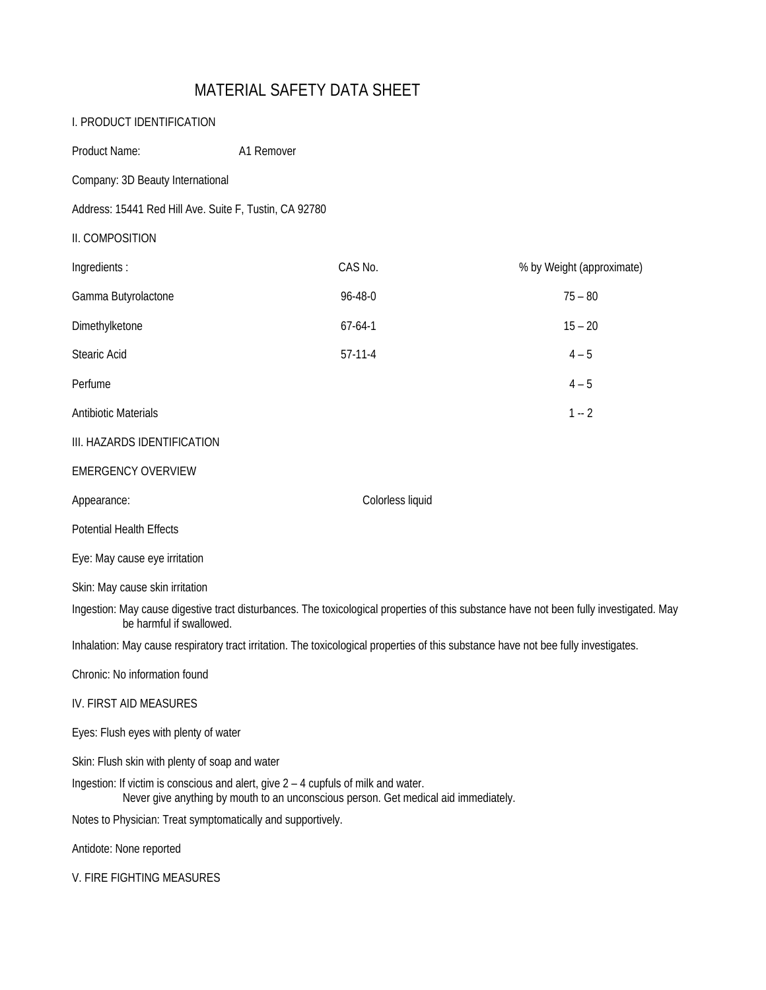# MATERIAL SAFETY DATA SHEET

| I. PRODUCT IDENTIFICATION                                                                                                                                                 |                  |                                                                                                                                         |
|---------------------------------------------------------------------------------------------------------------------------------------------------------------------------|------------------|-----------------------------------------------------------------------------------------------------------------------------------------|
| Product Name:                                                                                                                                                             | A1 Remover       |                                                                                                                                         |
| Company: 3D Beauty International                                                                                                                                          |                  |                                                                                                                                         |
| Address: 15441 Red Hill Ave. Suite F, Tustin, CA 92780                                                                                                                    |                  |                                                                                                                                         |
| II. COMPOSITION                                                                                                                                                           |                  |                                                                                                                                         |
| Ingredients:                                                                                                                                                              | CAS No.          | % by Weight (approximate)                                                                                                               |
| Gamma Butyrolactone                                                                                                                                                       | 96-48-0          | $75 - 80$                                                                                                                               |
| Dimethylketone                                                                                                                                                            | $67 - 64 - 1$    | $15 - 20$                                                                                                                               |
| Stearic Acid                                                                                                                                                              | $57-11-4$        | $4 - 5$                                                                                                                                 |
| Perfume                                                                                                                                                                   |                  | $4 - 5$                                                                                                                                 |
| <b>Antibiotic Materials</b>                                                                                                                                               |                  | $1 - 2$                                                                                                                                 |
| III. HAZARDS IDENTIFICATION                                                                                                                                               |                  |                                                                                                                                         |
| <b>EMERGENCY OVERVIEW</b>                                                                                                                                                 |                  |                                                                                                                                         |
| Appearance:                                                                                                                                                               | Colorless liquid |                                                                                                                                         |
| <b>Potential Health Effects</b>                                                                                                                                           |                  |                                                                                                                                         |
| Eye: May cause eye irritation                                                                                                                                             |                  |                                                                                                                                         |
| Skin: May cause skin irritation                                                                                                                                           |                  |                                                                                                                                         |
| be harmful if swallowed.                                                                                                                                                  |                  | Ingestion: May cause digestive tract disturbances. The toxicological properties of this substance have not been fully investigated. May |
|                                                                                                                                                                           |                  | Inhalation: May cause respiratory tract irritation. The toxicological properties of this substance have not bee fully investigates.     |
| Chronic: No information found                                                                                                                                             |                  |                                                                                                                                         |
| IV. FIRST AID MEASURES                                                                                                                                                    |                  |                                                                                                                                         |
| Eyes: Flush eyes with plenty of water                                                                                                                                     |                  |                                                                                                                                         |
| Skin: Flush skin with plenty of soap and water                                                                                                                            |                  |                                                                                                                                         |
| Ingestion: If victim is conscious and alert, give 2 - 4 cupfuls of milk and water.<br>Never give anything by mouth to an unconscious person. Get medical aid immediately. |                  |                                                                                                                                         |
| Notes to Physician: Treat symptomatically and supportively.                                                                                                               |                  |                                                                                                                                         |
| Antidote: None reported                                                                                                                                                   |                  |                                                                                                                                         |
| V. FIRE FIGHTING MEASURES                                                                                                                                                 |                  |                                                                                                                                         |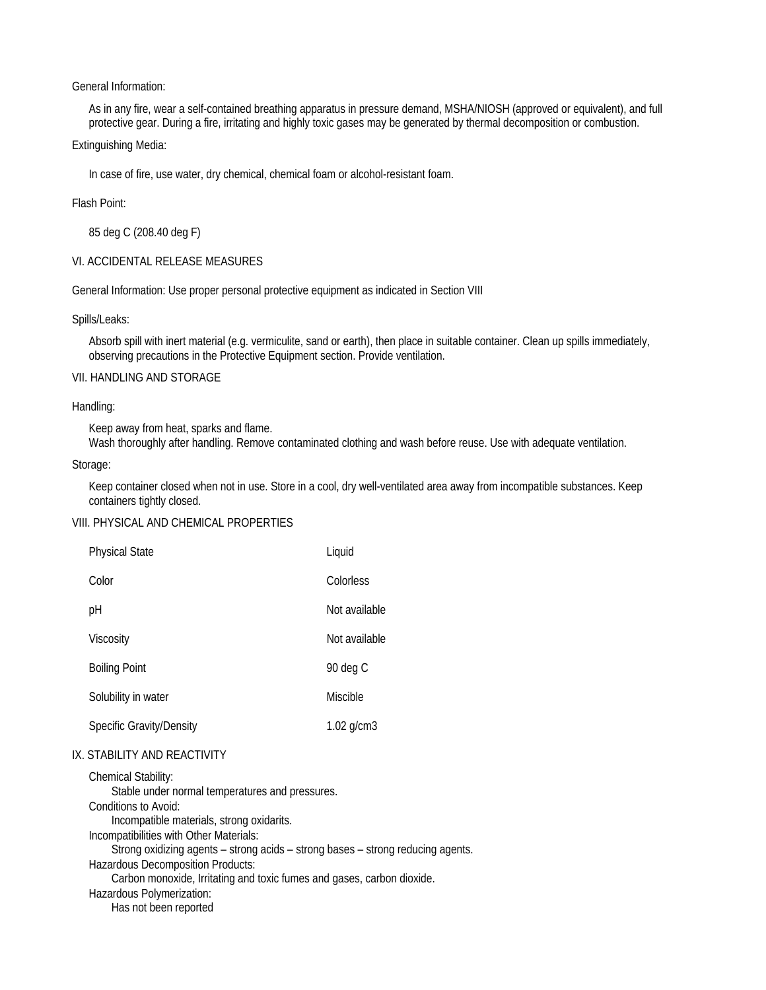## General Information:

As in any fire, wear a self-contained breathing apparatus in pressure demand, MSHA/NIOSH (approved or equivalent), and full protective gear. During a fire, irritating and highly toxic gases may be generated by thermal decomposition or combustion.

# Extinguishing Media:

In case of fire, use water, dry chemical, chemical foam or alcohol-resistant foam.

# Flash Point:

85 deg C (208.40 deg F)

# VI. ACCIDENTAL RELEASE MEASURES

General Information: Use proper personal protective equipment as indicated in Section VIII

# Spills/Leaks:

Absorb spill with inert material (e.g. vermiculite, sand or earth), then place in suitable container. Clean up spills immediately, observing precautions in the Protective Equipment section. Provide ventilation.

#### VII. HANDLING AND STORAGE

#### Handling:

Keep away from heat, sparks and flame.

Wash thoroughly after handling. Remove contaminated clothing and wash before reuse. Use with adequate ventilation.

# Storage:

Keep container closed when not in use. Store in a cool, dry well-ventilated area away from incompatible substances. Keep containers tightly closed.

# VIII. PHYSICAL AND CHEMICAL PROPERTIES

| <b>Physical State</b>    | Liquid          |
|--------------------------|-----------------|
| Color                    | Colorless       |
| рH                       | Not available   |
| Viscosity                | Not available   |
| <b>Boiling Point</b>     | 90 deg C        |
| Solubility in water      | Miscible        |
| Specific Gravity/Density | $1.02$ g/cm $3$ |

# IX. STABILITY AND REACTIVITY

Chemical Stability: Stable under normal temperatures and pressures. Conditions to Avoid: Incompatible materials, strong oxidarits. Incompatibilities with Other Materials: Strong oxidizing agents – strong acids – strong bases – strong reducing agents. Hazardous Decomposition Products: Carbon monoxide, Irritating and toxic fumes and gases, carbon dioxide. Hazardous Polymerization: Has not been reported